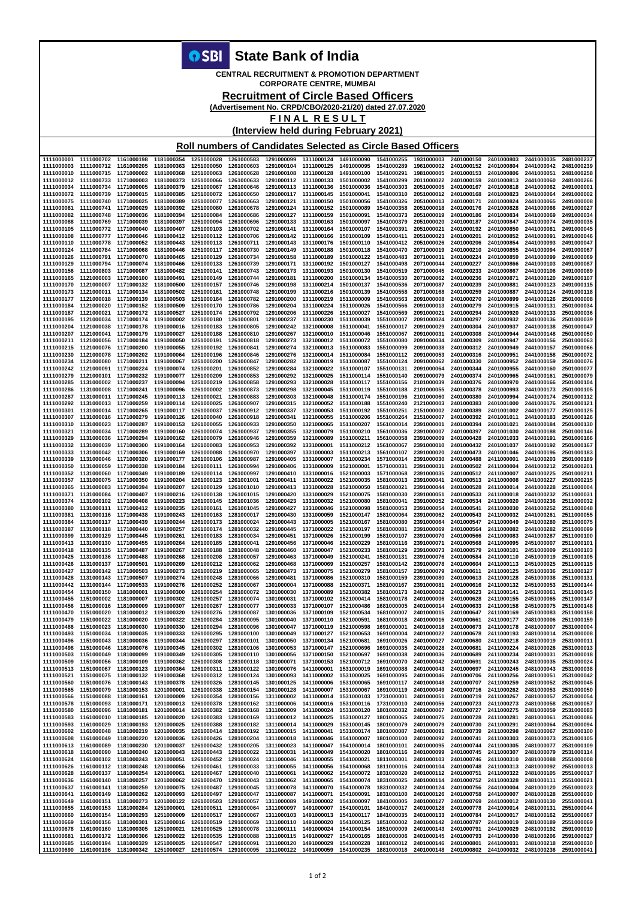**OSBI** State Bank of India

**CENTRAL RECRUITMENT & PROMOTION DEPARTMENT CORPORATE CENTRE, MUMBAI** 

**Recruitment of Circle Based Officers** 

(Advertisement No. CRPD/CBO/2020-21/20) dated 27.07.2020

FINAL RESULT

(Interview held during February 2021)

Roll numbers of Candidates Selected as Circle Based Officers

| 1111000001                                                                                                                                                           | 1111000702 | 1161000198 | 1181000354 | 1251000028 | 1261000583                                                                                                                                                          | 1291000099 | 1311000124 | 1491000090 | 1541000255 | 1931000003 | 2401000150                                                                                                                                                           | 2401000803 | 2441000035 | 2481000237 |
|----------------------------------------------------------------------------------------------------------------------------------------------------------------------|------------|------------|------------|------------|---------------------------------------------------------------------------------------------------------------------------------------------------------------------|------------|------------|------------|------------|------------|----------------------------------------------------------------------------------------------------------------------------------------------------------------------|------------|------------|------------|
| 1111000003                                                                                                                                                           | 1111000712 | 1161000205 | 1181000363 | 1251000050 | 1261000603                                                                                                                                                          | 1291000104 | 1311000125 | 1491000095 | 1541000289 | 1961000002 | 2401000152                                                                                                                                                           | 2401000804 | 2441000042 | 2481000239 |
|                                                                                                                                                                      |            |            |            |            |                                                                                                                                                                     |            |            |            |            |            |                                                                                                                                                                      |            |            |            |
| 1111000010                                                                                                                                                           | 1111000715 | 1171000002 | 1181000368 | 1251000063 | 1261000628                                                                                                                                                          | 1291000108 | 1311000128 | 1491000100 | 1541000291 | 1981000005 | 2401000153                                                                                                                                                           | 2401000806 | 2441000051 | 2481000258 |
| 1111000012                                                                                                                                                           | 1111000733 | 1171000003 | 1181000373 | 1251000066 | 1261000633                                                                                                                                                          | 1291000112 | 1311000133 | 1501000002 | 1541000299 | 2011000022 | 2401000159                                                                                                                                                           | 2401000813 | 2441000060 | 2481000266 |
| 1111000034                                                                                                                                                           | 1111000734 | 1171000005 | 1181000379 | 1251000067 | 1261000646                                                                                                                                                          | 1291000113 | 1311000136 | 1501000036 | 1541000303 | 2051000005 | 2401000167                                                                                                                                                           | 2401000818 | 2441000062 | 2491000001 |
| 1111000072                                                                                                                                                           | 1111000739 | 1171000015 | 1181000385 | 1251000072 | 1261000650                                                                                                                                                          | 1291000117 | 1311000145 | 1501000041 | 1541000310 | 2051000012 | 2401000168                                                                                                                                                           | 2401000823 | 2441000064 | 2491000002 |
| 1111000075                                                                                                                                                           | 1111000740 | 1171000025 | 1181000389 | 1251000077 | 1261000663                                                                                                                                                          | 1291000121 | 1311000150 | 1501000056 | 1541000326 | 2051000013 | 2401000171                                                                                                                                                           | 2401000824 | 2441000065 | 2491000008 |
| 1111000081                                                                                                                                                           | 1111000741 | 1171000029 | 1181000392 | 1251000080 | 1261000678                                                                                                                                                          | 1291000124 | 1311000152 | 1501000089 | 1541000358 | 2051000018 | 2401000176                                                                                                                                                           | 2401000828 | 2441000066 | 2491000027 |
| 1111000082                                                                                                                                                           | 1111000748 | 1171000036 | 1181000394 | 1251000084 | 1261000686                                                                                                                                                          | 1291000127 | 1311000159 | 1501000091 | 1541000373 | 2051000019 | 2401000186                                                                                                                                                           | 2401000834 | 2441000069 | 2491000034 |
| 1111000088                                                                                                                                                           | 1111000769 | 1171000039 | 1181000397 | 1251000094 | 1261000696                                                                                                                                                          | 1291000133 | 1311000163 | 1501000097 | 1541000379 | 2051000020 | 2401000187                                                                                                                                                           | 2401000847 | 2441000074 | 2491000035 |
|                                                                                                                                                                      |            |            |            |            |                                                                                                                                                                     |            |            |            |            |            |                                                                                                                                                                      |            |            |            |
| 1111000105                                                                                                                                                           | 1111000772 | 1171000040 | 1181000407 | 1251000103 | 1261000702                                                                                                                                                          | 1291000141 | 1311000164 | 1501000107 | 1541000391 | 2051000021 | 2401000192                                                                                                                                                           | 2401000850 | 2441000081 | 2491000045 |
| 1111000108                                                                                                                                                           | 1111000777 | 1171000046 | 1181000412 | 1251000112 | 1261000706                                                                                                                                                          | 1291000142 | 1311000166 | 1501000109 | 1541000411 | 2051000023 | 2401000201                                                                                                                                                           | 2401000852 | 2441000091 | 2491000046 |
| 1111000110                                                                                                                                                           | 1111000778 | 1171000052 | 1181000443 | 1251000113 | 1261000711                                                                                                                                                          | 1291000143 | 1311000176 | 1501000110 | 1541000412 | 2051000026 | 2401000206                                                                                                                                                           | 2401000854 | 2441000093 | 2491000047 |
| 1111000124                                                                                                                                                           | 1111000784 | 1171000068 | 1181000446 | 1251000117 | 1261000730                                                                                                                                                          | 1291000149 | 1311000188 | 1501000118 | 1541000470 | 2071000019 | 2401000210                                                                                                                                                           | 2401000855 | 2441000094 | 2491000067 |
| 1111000126                                                                                                                                                           | 1111000791 | 1171000070 | 1181000465 | 1251000129 | 1261000734                                                                                                                                                          | 1291000158 | 1311000189 | 1501000122 | 1541000483 | 2071000031 | 2401000224                                                                                                                                                           | 2401000859 | 2441000099 | 2491000069 |
| 1111000129                                                                                                                                                           | 1111000794 | 1171000074 | 1181000466 | 1251000133 | 1261000739                                                                                                                                                          | 1291000171 | 1311000192 | 1501000127 | 1541000498 | 2071000044 | 2401000227                                                                                                                                                           | 2401000866 | 2441000103 | 2491000087 |
| 1111000156                                                                                                                                                           | 1111000803 | 1171000087 | 1181000482 | 1251000141 | 1261000743                                                                                                                                                          | 1291000173 | 1311000193 | 1501000130 | 1541000519 | 2071000045 | 2401000233                                                                                                                                                           | 2401000867 | 2441000106 | 2491000089 |
|                                                                                                                                                                      |            |            |            |            |                                                                                                                                                                     |            |            |            |            |            |                                                                                                                                                                      |            |            |            |
| 1111000165                                                                                                                                                           | 1121000003 | 1171000100 | 1181000491 | 1251000149 | 1261000744                                                                                                                                                          | 1291000181 | 1311000200 | 1501000134 | 1541000530 | 2071000062 | 2401000236                                                                                                                                                           | 2401000871 | 2441000120 | 2491000107 |
| 1111000170                                                                                                                                                           | 1121000007 | 1171000132 | 1181000500 | 1251000157 | 1261000746                                                                                                                                                          | 1291000198 | 1311000214 | 1501000137 | 1541000536 | 2071000087 | 2401000239                                                                                                                                                           | 2401000881 | 2441000123 | 2491000115 |
| 1111000173                                                                                                                                                           | 1121000011 | 1171000134 | 1181000502 | 1251000161 | 1261000748                                                                                                                                                          | 1291000199 | 1311000216 | 1501000139 | 1541000558 | 2071000168 | 2401000259                                                                                                                                                           | 2401000887 | 2441000124 | 2491000118 |
| 1111000177                                                                                                                                                           | 1121000018 | 1171000139 | 1181000503 | 1251000164 | 1261000782                                                                                                                                                          | 1291000200 | 1311000219 | 1511000009 | 1541000563 | 2091000008 | 2401000270                                                                                                                                                           | 2401000899 | 2441000126 | 2501000008 |
| 1111000184                                                                                                                                                           | 1121000020 | 1171000152 | 1181000509 | 1251000170 | 1261000786                                                                                                                                                          | 1291000204 | 1311000224 | 1511000026 | 1541000566 | 2091000013 | 2401000279                                                                                                                                                           | 2401000915 | 2441000131 | 2501000034 |
| 1111000187                                                                                                                                                           | 1121000021 | 1171000172 | 1181000527 | 1251000174 | 1261000792                                                                                                                                                          | 1291000206 | 1311000226 | 1511000027 | 1541000569 | 2091000021 | 2401000294                                                                                                                                                           | 2401000920 | 2441000133 | 2501000036 |
| 1111000195                                                                                                                                                           | 1121000034 | 1171000174 | 1191000002 | 1251000180 | 1261000801                                                                                                                                                          | 1291000237 | 1311000230 | 1511000039 | 1551000007 | 2091000024 | 2401000297                                                                                                                                                           | 2401000932 | 2441000136 | 2501000039 |
| 1111000204                                                                                                                                                           | 1121000038 | 1171000178 | 1191000016 | 1251000183 | 1261000805                                                                                                                                                          | 1291000242 | 1321000008 | 1511000041 | 1551000017 | 2091000029 | 2401000304                                                                                                                                                           | 2401000937 | 2441000138 | 2501000047 |
|                                                                                                                                                                      |            |            |            |            |                                                                                                                                                                     |            |            |            |            |            |                                                                                                                                                                      |            |            |            |
| 1111000207                                                                                                                                                           | 1121000041 | 1171000179 | 1191000027 | 1251000188 | 1261000810                                                                                                                                                          | 1291000267 | 1321000010 | 1511000046 | 1551000067 | 2091000031 | 2401000308                                                                                                                                                           | 2401000944 | 2441000148 | 2501000050 |
| 1111000211                                                                                                                                                           | 1121000056 | 1171000184 | 1191000050 | 1251000191 | 1261000818                                                                                                                                                          | 1291000273 | 1321000012 | 1511000072 | 1551000080 | 2091000034 | 2401000309                                                                                                                                                           | 2401000947 | 2441000156 | 2501000063 |
| 1111000215                                                                                                                                                           | 1121000076 | 1171000200 | 1191000055 | 1251000192 | 1261000841                                                                                                                                                          | 1291000274 | 1321000013 | 1511000083 | 1551000099 | 2091000038 | 2401000312                                                                                                                                                           | 2401000949 | 2441000157 | 2501000066 |
| 1111000230                                                                                                                                                           | 1121000078 | 1171000202 | 1191000064 | 1251000196 | 1261000846                                                                                                                                                          | 1291000276 | 1321000014 | 1511000084 | 1551000112 | 2091000053 | 2401000316                                                                                                                                                           | 2401000951 | 2441000158 | 2501000072 |
| 1111000234                                                                                                                                                           | 1121000080 | 1171000211 | 1191000067 | 1251000200 | 1261000847                                                                                                                                                          | 1291000282 | 1321000019 | 1511000087 | 1551000124 | 2091000062 | 2401000330                                                                                                                                                           | 2401000952 | 2441000159 | 2501000076 |
| 1111000242                                                                                                                                                           | 1121000091 | 1171000224 | 1191000074 | 1251000201 | 1261000852                                                                                                                                                          | 1291000284 | 1321000022 | 1511000107 | 1551000131 | 2091000064 | 2401000344                                                                                                                                                           | 2401000955 | 2441000160 | 2501000077 |
|                                                                                                                                                                      |            |            |            |            |                                                                                                                                                                     |            |            |            |            |            |                                                                                                                                                                      |            |            |            |
| 1111000279                                                                                                                                                           | 1121000101 | 1171000232 | 1191000077 | 1251000209 | 1261000853                                                                                                                                                          | 1291000292 | 1321000025 | 1511000114 | 1551000140 | 2091000079 | 2401000374                                                                                                                                                           | 2401000965 | 2441000161 | 2501000079 |
| 1111000285                                                                                                                                                           | 1131000002 | 1171000237 | 1191000094 | 1251000219 | 1261000858                                                                                                                                                          | 1291000293 | 1321000028 | 1511000117 | 1551000156 | 2101000039 | 2401000376                                                                                                                                                           | 2401000970 | 2441000166 | 2501000104 |
| 1111000286                                                                                                                                                           | 1131000008 | 1171000241 | 1191000096 | 1261000002 | 1261000873                                                                                                                                                          | 1291000298 | 1321000045 | 1511000119 | 1551000188 | 2101000055 | 2401000378                                                                                                                                                           | 2401000993 | 2441000173 | 2501000105 |
| 1111000287                                                                                                                                                           | 1131000011 | 1171000245 | 1191000113 | 1261000021 | 1261000883                                                                                                                                                          | 1291000303 | 1321000048 | 1511000174 | 1551000196 | 2101000060 | 2401000380                                                                                                                                                           | 2401000994 | 2441000174 | 2501000112 |
| 1111000292                                                                                                                                                           | 1131000013 | 1171000259 | 1191000114 | 1261000025 | 1261000907                                                                                                                                                          | 1291000315 | 1321000052 | 1511000188 | 1551000240 | 2121000003 | 2401000383                                                                                                                                                           | 2401001000 | 2441000176 | 2501000121 |
| 1111000301                                                                                                                                                           | 1131000014 | 1171000265 | 1191000117 | 1261000037 | 1261000912                                                                                                                                                          | 1291000337 | 1321000053 | 1511000192 | 1551000251 | 2151000002 | 2401000389                                                                                                                                                           | 2401001002 | 2441000177 | 2501000125 |
| 1111000307                                                                                                                                                           | 1131000016 | 1171000279 | 1191000126 | 1261000040 | 1261000918                                                                                                                                                          | 1291000341 | 1321000055 | 1511000206 | 1551000264 | 2151000007 | 2401000392                                                                                                                                                           | 2401001011 | 2441000183 | 2501000126 |
| 1111000310                                                                                                                                                           | 1131000023 | 1171000287 | 1191000153 | 1261000055 | 1261000933                                                                                                                                                          | 1291000350 | 1321000065 | 1511000207 | 1561000014 | 2391000001 | 2401000394                                                                                                                                                           | 2401001021 | 2441000184 | 2501000130 |
|                                                                                                                                                                      |            |            |            | 1261000074 |                                                                                                                                                                     |            |            |            |            |            |                                                                                                                                                                      | 2401001030 |            |            |
| 1111000321                                                                                                                                                           | 1131000034 | 1171000289 | 1191000160 |            | 1261000937                                                                                                                                                          | 1291000355 | 1321000079 | 1511000210 | 1561000036 | 2391000007 | 2401000397                                                                                                                                                           |            | 2441000188 | 2501000146 |
| 1111000329                                                                                                                                                           | 1131000036 | 1171000294 | 1191000162 | 1261000079 | 1261000946                                                                                                                                                          | 1291000359 | 1321000089 | 1511000211 | 1561000058 | 2391000009 | 2401000428                                                                                                                                                           | 2401001033 | 2441000191 | 2501000166 |
| 1111000332                                                                                                                                                           | 1131000039 | 1171000300 | 1191000164 | 1261000083 | 1261000953                                                                                                                                                          | 1291000392 | 1331000001 | 1511000212 | 1561000067 | 2391000010 | 2401000432                                                                                                                                                           | 2401001037 | 2441000192 | 2501000167 |
| 1111000333                                                                                                                                                           | 1131000042 | 1171000306 | 1191000169 | 1261000088 | 1261000970                                                                                                                                                          | 1291000397 | 1331000003 | 1511000213 | 1561000107 | 2391000020 | 2401000473                                                                                                                                                           | 2401001046 | 2441000196 | 2501000183 |
| 1111000339                                                                                                                                                           | 1131000046 | 1171000320 | 1191000177 | 1261000106 | 1261000987                                                                                                                                                          | 1291000405 | 1331000007 | 1511000234 | 1571000014 | 2391000030 | 2401000488                                                                                                                                                           | 2411000001 | 2441000203 | 2501000189 |
| 1111000350                                                                                                                                                           | 1131000059 | 1171000338 | 1191000184 | 1261000111 | 1261000994                                                                                                                                                          | 1291000406 | 1331000009 | 1521000001 | 1571000031 | 2391000031 | 2401000502                                                                                                                                                           | 2411000004 | 2441000212 | 2501000201 |
| 1111000352                                                                                                                                                           | 1131000060 | 1171000349 | 1191000189 | 1261000114 | 1261000997                                                                                                                                                          | 1291000410 | 1331000016 | 1521000003 | 1571000068 | 2391000035 | 2401000512                                                                                                                                                           | 2411000007 | 2441000225 | 2501000211 |
| 1111000357                                                                                                                                                           | 1131000075 | 1171000350 | 1191000204 | 1261000123 | 1261001001                                                                                                                                                          | 1291000411 | 1331000022 | 1521000035 | 1581000013 | 2391000041 | 2401000513                                                                                                                                                           | 2411000008 | 2441000227 | 2501000215 |
| 1111000365                                                                                                                                                           | 1131000083 | 1171000394 | 1191000207 | 1261000129 | 1261001010                                                                                                                                                          | 1291000413 | 1331000028 | 1521000050 | 1581000021 | 2391000044 | 2401000528                                                                                                                                                           | 2411000014 | 2441000228 | 2511000004 |
|                                                                                                                                                                      |            |            |            |            |                                                                                                                                                                     |            |            |            |            |            |                                                                                                                                                                      |            |            |            |
| 1111000371                                                                                                                                                           | 1131000084 | 1171000407 | 1191000216 | 1261000138 | 1261001015                                                                                                                                                          | 1291000420 | 1331000029 | 1521000075 | 1581000030 | 2391000051 | 2401000533                                                                                                                                                           | 2411000018 | 2441000232 | 2511000031 |
| 1111000374                                                                                                                                                           | 1131000102 | 1171000408 | 1191000223 | 1261000145 | 1261001036                                                                                                                                                          | 1291000423 | 1331000032 | 1521000080 | 1581000041 | 2391000052 | 2401000534                                                                                                                                                           | 2411000020 | 2441000236 | 2511000032 |
| 1111000380                                                                                                                                                           | 1131000111 | 1171000412 | 1191000235 | 1261000161 | 1261001045                                                                                                                                                          | 1291000427 | 1331000046 | 1521000098 | 1581000053 | 2391000054 | 2401000541                                                                                                                                                           | 2411000030 | 2441000252 | 2511000048 |
| 1111000381                                                                                                                                                           | 1131000116 | 1171000438 | 1191000243 | 1261000163 | 1281000017                                                                                                                                                          | 1291000430 | 1331000059 | 1521000147 | 1581000064 | 2391000062 | 2401000543                                                                                                                                                           | 2411000032 | 2441000261 | 2511000055 |
| 1111000384                                                                                                                                                           | 1131000117 | 1171000439 | 1191000244 | 1261000173 | 1281000024                                                                                                                                                          | 1291000443 | 1371000005 | 1521000167 | 1581000080 | 2391000064 | 2401000547                                                                                                                                                           | 2411000049 | 2441000280 | 2511000075 |
| 1111000387                                                                                                                                                           | 1131000118 | 1171000440 | 1191000257 | 1261000174 | 1281000032                                                                                                                                                          | 1291000445 | 1371000022 | 1521000197 | 1581000081 | 2391000069 | 2401000564                                                                                                                                                           | 2411000082 | 2441000282 | 2511000099 |
| 1111000399                                                                                                                                                           | 1131000129 | 1171000445 | 1191000261 | 1261000183 | 1281000034                                                                                                                                                          | 1291000451 | 1371000026 | 1521000199 | 1581000107 | 2391000070 | 2401000566                                                                                                                                                           | 2411000083 | 2441000287 | 2511000100 |
| 1111000413                                                                                                                                                           | 1131000130 | 1171000455 | 1191000264 | 1261000185 | 1281000041                                                                                                                                                          | 1291000456 | 1371000046 | 1521000229 | 1581000116 | 2391000071 | 2401000568                                                                                                                                                           | 2411000095 | 2451000007 | 2511000101 |
| 1111000418                                                                                                                                                           | 1131000135 | 1171000487 | 1191000267 | 1261000188 | 1281000048                                                                                                                                                          | 1291000460 | 1371000047 | 1521000233 | 1581000129 | 2391000073 | 2401000579                                                                                                                                                           | 2411000101 | 2451000009 | 2511000103 |
| 1111000425                                                                                                                                                           | 1131000136 | 1171000488 | 1191000268 | 1261000208 | 1281000057                                                                                                                                                          | 1291000463 | 1371000049 | 1521000241 | 1581000131 | 2391000076 | 2401000584                                                                                                                                                           | 2411000110 | 2451000019 | 2511000105 |
|                                                                                                                                                                      |            |            |            |            |                                                                                                                                                                     |            |            |            |            |            |                                                                                                                                                                      |            |            |            |
| 1111000426                                                                                                                                                           | 1131000137 | 1171000501 | 1191000269 | 1261000212 | 1281000062                                                                                                                                                          | 1291000468 | 1371000069 | 1521000257 | 1581000142 | 2391000078 | 2401000604                                                                                                                                                           | 2411000113 | 2451000025 | 2511000115 |
| 1111000427                                                                                                                                                           | 1131000142 | 1171000503 | 1191000273 | 1261000219 | 1281000065                                                                                                                                                          | 1291000473 | 1371000075 | 1521000279 | 1581000157 | 2391000079 | 2401000611                                                                                                                                                           | 2411000125 | 2451000036 | 2511000127 |
| 1111000428                                                                                                                                                           | 1131000143 | 1171000507 | 1191000274 | 1261000248 | 1281000066                                                                                                                                                          | 1291000481 | 1371000086 | 1521000310 | 1581000159 | 2391000080 | 2401000613                                                                                                                                                           | 2411000128 | 2451000038 | 2511000131 |
| 1111000442                                                                                                                                                           | 1131000144 | 1171000533 | 1191000276 | 1261000252 | 1281000067                                                                                                                                                          | 1301000004 | 1371000088 | 1521000371 | 1581000167 | 2391000081 | 2401000616                                                                                                                                                           | 2411000132 | 2451000053 | 2511000144 |
| 1111000454                                                                                                                                                           | 1131000150 | 1181000001 | 1191000300 | 1261000254 | 1281000072                                                                                                                                                          | 1301000030 | 1371000089 | 1521000382 | 1581000173 | 2401000002 | 2401000623                                                                                                                                                           | 2411000141 | 2451000061 | 2511000145 |
| 1111000455                                                                                                                                                           | 1151000002 | 1181000007 | 1191000302 | 1261000257 | 1281000074                                                                                                                                                          | 1301000031 | 1371000102 | 1521000414 | 1581000178 | 2401000006 | 2401000628                                                                                                                                                           | 2411000155 | 2451000065 | 2511000147 |
|                                                                                                                                                                      | 1151000016 | 1181000009 | 1191000307 | 1261000267 | 1281000077                                                                                                                                                          | 1301000033 | 1371000107 | 1521000486 | 1681000005 | 2401000014 | 2401000633                                                                                                                                                           | 2411000158 | 2451000075 | 2511000148 |
| 1111000456                                                                                                                                                           |            |            |            |            |                                                                                                                                                                     |            |            |            |            |            |                                                                                                                                                                      |            |            |            |
| 1111000470                                                                                                                                                           | 1151000020 | 1181000012 | 1191000320 | 1261000276 | 1281000087                                                                                                                                                          | 1301000036 | 1371000109 | 1521000534 | 1681000007 | 2401000015 | 2401000647                                                                                                                                                           | 2411000169 | 2451000083 | 2511000158 |
| 1111000479                                                                                                                                                           | 1151000022 | 1181000020 | 1191000322 | 1261000284 | 1281000095                                                                                                                                                          | 1301000040 | 1371000110 | 1521000591 | 1681000018 | 2401000016 | 2401000661                                                                                                                                                           | 2411000177 | 2481000006 | 2511000159 |
| 1111000486                                                                                                                                                           | 1151000023 | 1181000030 | 1191000330 | 1261000294 | 1281000096                                                                                                                                                          | 1301000047 | 1371000119 | 1521000598 | 1691000001 | 2401000018 | 2401000673                                                                                                                                                           | 2411000178 | 2481000007 | 2531000004 |
| 1111000493                                                                                                                                                           | 1151000034 | 1181000035 | 1191000333 | 1261000295 | 1281000100                                                                                                                                                          | 1301000049 | 1371000127 | 1521000653 | 1691000004 | 2401000022 | 2401000678                                                                                                                                                           | 2411000193 | 2481000014 | 2531000008 |
| 1111000496                                                                                                                                                           | 1151000043 | 1181000036 | 1191000344 | 1261000297 | 1281000101                                                                                                                                                          | 1301000050 | 1371000134 | 1521000681 | 1691000026 | 2401000027 | 2401000680                                                                                                                                                           | 2411000218 | 2481000019 | 2531000011 |
| 1111000498                                                                                                                                                           | 1151000046 | 1181000076 | 1191000345 | 1261000302 | 1281000106                                                                                                                                                          | 1301000053 | 1371000147 | 1521000696 | 1691000035 | 2401000028 | 2401000681                                                                                                                                                           | 2411000224 | 2481000026 | 2531000013 |
| 1111000503                                                                                                                                                           | 1151000049 | 1181000099 | 1191000349 | 1261000305 | 1281000110                                                                                                                                                          | 1301000056 | 1371000150 | 1521000697 | 1691000038 | 2401000036 | 2401000689                                                                                                                                                           | 2411000234 | 2481000031 | 2531000018 |
|                                                                                                                                                                      |            |            |            |            |                                                                                                                                                                     |            | 1371000153 |            |            |            |                                                                                                                                                                      |            |            |            |
| 1111000509                                                                                                                                                           | 1151000056 | 1181000109 | 1191000362 | 1261000308 | 1281000118                                                                                                                                                          | 1301000071 |            | 1521000712 | 1691000070 | 2401000042 | 2401000691                                                                                                                                                           | 2411000243 | 2481000035 | 2531000024 |
| 1111000513                                                                                                                                                           | 1151000067 | 1181000123 | 1191000364 | 1261000311 | 1281000122                                                                                                                                                          | 1301000076 | 1411000001 | 1531000019 | 1691000088 | 2401000043 | 2401000697                                                                                                                                                           | 2411000245 | 2481000043 | 2531000038 |
| 1111000521                                                                                                                                                           | 1151000075 | 1181000132 | 1191000368 | 1261000312 | 1281000124                                                                                                                                                          | 1301000093 | 1411000002 | 1531000025 | 1691000095 | 2401000046 | 2401000706                                                                                                                                                           | 2411000256 | 2481000051 | 2531000042 |
| 1111000560                                                                                                                                                           | 1151000076 | 1181000143 | 1191000378 | 1261000326 | 1281000145                                                                                                                                                          | 1301000125 | 1411000006 | 1531000065 | 1691000117 | 2401000048 | 2401000707                                                                                                                                                           | 2411000259 | 2481000052 | 2531000045 |
| 1111000565                                                                                                                                                           | 1151000079 | 1181000153 | 1201000001 | 1261000338 | 1281000154                                                                                                                                                          | 1301000128 | 1411000007 | 1531000067 | 1691000119 | 2401000049 | 2401000716                                                                                                                                                           | 2411000262 | 2481000053 | 2531000050 |
| 1111000566                                                                                                                                                           | 1151000088 | 1181000161 | 1201000009 | 1261000354 | 1281000156                                                                                                                                                          | 1311000002 | 1411000014 | 1531000103 | 1731000001 | 2401000051 | 2401000719                                                                                                                                                           | 2411000267 | 2481000057 | 2531000054 |
| 1111000578                                                                                                                                                           | 1151000093 | 1181000171 | 1201000013 | 1261000378 | 1281000162                                                                                                                                                          | 1311000006 | 1411000016 | 1531000116 | 1731000010 | 2401000056 | 2401000723                                                                                                                                                           | 2411000273 | 2481000058 | 2531000057 |
| 1111000580                                                                                                                                                           | 1151000096 | 1181000181 | 1201000014 | 1261000382 | 1281000168                                                                                                                                                          | 1311000009 | 1411000024 | 1531000120 | 1801000032 | 2401000067 | 2401000727                                                                                                                                                           | 2411000275 | 2481000059 | 2531000083 |
| 1111000583                                                                                                                                                           | 1161000010 | 1181000185 | 1201000020 | 1261000383 | 1281000169                                                                                                                                                          | 1311000012 | 1411000025 | 1531000127 | 1801000065 | 2401000075 | 2401000728                                                                                                                                                           | 2411000281 | 2481000061 | 2531000086 |
|                                                                                                                                                                      |            |            |            |            |                                                                                                                                                                     |            |            |            |            |            |                                                                                                                                                                      |            |            |            |
| 1111000593                                                                                                                                                           | 1161000029 | 1181000193 | 1201000025 | 1261000388 | 1281000182                                                                                                                                                          | 1311000014 | 1411000029 | 1531000145 | 1801000079 | 2401000079 | 2401000730                                                                                                                                                           | 2411000291 | 2481000064 | 2531000094 |
| 1111000602                                                                                                                                                           | 1161000048 | 1181000219 | 1201000035 | 1261000414 | 1281000192                                                                                                                                                          | 1311000015 | 1411000041 | 1531000174 | 1801000087 | 2401000091 | 2401000739                                                                                                                                                           | 2411000298 | 2481000067 | 2531000100 |
| 1111000608                                                                                                                                                           | 1161000049 | 1181000220 | 1201000036 | 1261000426 | 1281000204                                                                                                                                                          | 1311000018 | 1411000046 | 1541000007 | 1801000100 | 2401000092 | 2401000741                                                                                                                                                           | 2411000303 | 2481000073 | 2531000105 |
| 1111000613                                                                                                                                                           | 1161000089 | 1181000230 | 1201000037 | 1261000432 | 1281000205                                                                                                                                                          | 1311000023 | 1411000047 | 1541000014 | 1801000101 | 2401000095 | 2401000744                                                                                                                                                           | 2411000305 | 2481000077 | 2531000109 |
| 1111000618                                                                                                                                                           | 1161000090 | 1181000240 | 1201000043 | 1261000443 | 1291000022                                                                                                                                                          | 1311000031 | 1411000049 | 1541000020 | 1801000116 | 2401000099 | 2401000745                                                                                                                                                           | 2411000307 | 2481000079 | 2531000114 |
| 1111000624                                                                                                                                                           | 1161000102 | 1181000243 | 1201000051 | 1261000452 | 1291000024                                                                                                                                                          | 1311000046 | 1411000055 | 1541000021 | 1811000001 | 2401000103 | 2401000746                                                                                                                                                           | 2411000310 | 2481000088 | 2551000008 |
| 1111000626                                                                                                                                                           | 1161000112 | 1181000248 | 1201000056 | 1261000461 | 1291000033                                                                                                                                                          | 1311000055 | 1411000056 | 1541000068 | 1811000016 | 2401000104 | 2401000748                                                                                                                                                           | 2411000313 | 2481000092 | 2551000013 |
| 1111000628                                                                                                                                                           | 1161000137 | 1181000254 | 1201000061 | 1261000467 | 1291000040                                                                                                                                                          | 1311000061 | 1411000062 | 1541000072 | 1831000020 | 2401000112 | 2401000751                                                                                                                                                           | 2411000322 | 2481000105 | 2551000017 |
| 1111000636                                                                                                                                                           |            | 1181000257 | 1201000062 | 1261000470 | 1291000043                                                                                                                                                          | 1311000062 | 1411000065 | 1541000074 | 1831000025 | 2401000114 | 2401000752                                                                                                                                                           | 2411000328 | 2481000111 | 2551000021 |
|                                                                                                                                                                      | 1161000140 |            |            |            |                                                                                                                                                                     |            |            |            |            |            |                                                                                                                                                                      |            |            |            |
| 1111000637                                                                                                                                                           | 1161000141 | 1181000259 | 1201000075 | 1261000487 | 1291000045                                                                                                                                                          | 1311000078 | 1411000070 | 1541000078 | 1831000032 | 2401000124 | 2401000756                                                                                                                                                           | 2441000004 | 2481000120 | 2551000023 |
| 1111000641                                                                                                                                                           | 1161000149 | 1181000262 | 1201000093 | 1261000497 | 1291000047                                                                                                                                                          | 1311000087 | 1411000071 | 1541000091 | 1831000100 | 2401000126 | 2401000758                                                                                                                                                           | 2441000007 | 2481000128 | 2551000030 |
| 1111000649                                                                                                                                                           | 1161000151 | 1181000273 | 1201000122 | 1261000503 | 1291000057                                                                                                                                                          | 1311000089 | 1491000002 | 1541000097 | 1841000005 | 2401000127 | 2401000769                                                                                                                                                           | 2441000012 | 2481000130 | 2551000041 |
| 1111000655                                                                                                                                                           | 1161000153 | 1181000284 | 1251000001 | 1261000511 | 1291000064                                                                                                                                                          | 1311000097 | 1491000007 | 1541000101 | 1841000017 | 2401000128 | 2401000778                                                                                                                                                           | 2441000014 | 2481000131 | 2551000044 |
| 1111000660                                                                                                                                                           | 1161000154 | 1181000293 | 1251000009 | 1261000517 | 1291000067                                                                                                                                                          | 1311000103 | 1491000013 | 1541000117 | 1841000035 | 2401000133 | 2401000784                                                                                                                                                           | 2441000017 | 2481000162 | 2551000067 |
| 1111000669                                                                                                                                                           | 1161000156 | 1181000301 | 1251000016 | 1261000519 | 1291000069                                                                                                                                                          | 1311000110 | 1491000020 | 1541000125 | 1851000002 | 2401000142 | 2401000787                                                                                                                                                           | 2441000019 | 2481000189 | 2551000069 |
| 1111000678                                                                                                                                                           | 1161000160 | 1181000305 |            |            |                                                                                                                                                                     |            |            |            |            |            |                                                                                                                                                                      |            |            | 2591000010 |
|                                                                                                                                                                      |            |            | 1251000021 | 1261000525 | 1291000078                                                                                                                                                          | 1311000111 | 1491000024 | 1541000154 | 1851000009 | 2401000143 | 2401000791                                                                                                                                                           | 2441000029 | 2481000192 |            |
| 1111000681 1161000172 1181000306 1251000022 1261000535 1291000088 1311000115 1491000027 1541000165 1881000006 2401000145 2401000793 2441000030 2481000206 2591000027 |            |            |            |            |                                                                                                                                                                     |            |            |            |            |            |                                                                                                                                                                      |            |            |            |
|                                                                                                                                                                      |            |            |            |            | 1111000685 1161000194 1181000329 1251000025 1261000547 1291000091 1311000120 1491000029 1541000228 1881000012 2401000146 2401000801 2441000031 2481000218 259100030 |            |            |            |            |            |                                                                                                                                                                      |            |            |            |
|                                                                                                                                                                      |            |            |            |            |                                                                                                                                                                     |            |            |            |            |            | 1111000690 1161000196 1181000342 1251000027 1261000574 1291000095 1311000122 1491000059 1541000235 1881000018 2401000148 2401000802 2441000032 2481000236 2591000041 |            |            |            |